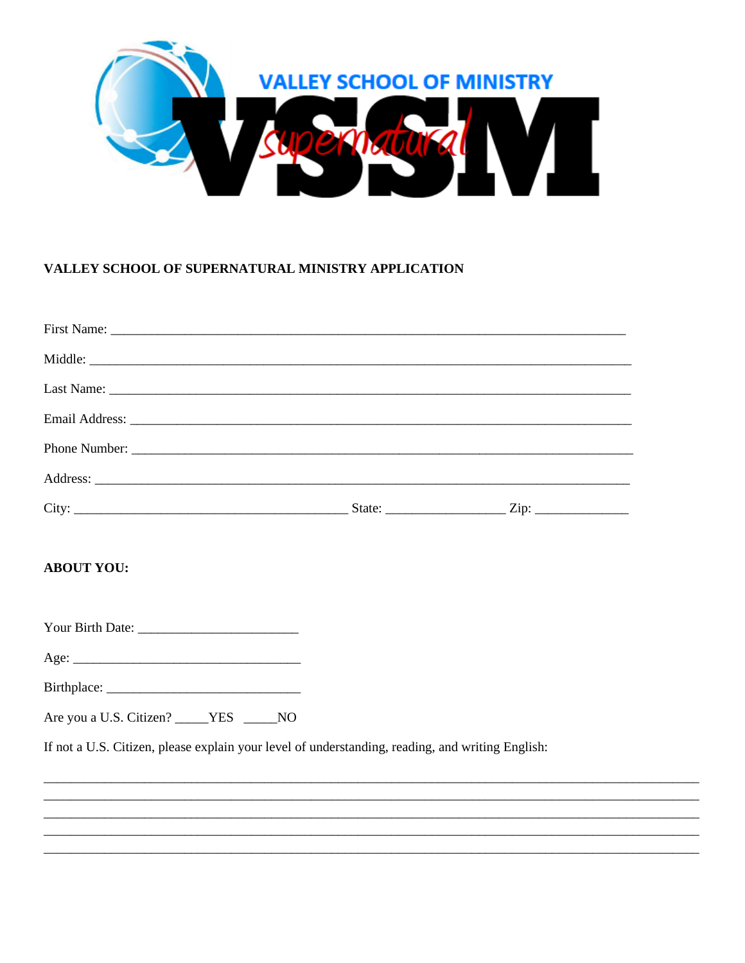

## VALLEY SCHOOL OF SUPERNATURAL MINISTRY APPLICATION

| <b>ABOUT YOU:</b>                                                                                |  |
|--------------------------------------------------------------------------------------------------|--|
|                                                                                                  |  |
|                                                                                                  |  |
|                                                                                                  |  |
| Are you a U.S. Citizen? _____YES _____NO                                                         |  |
| If not a U.S. Citizen, please explain your level of understanding, reading, and writing English: |  |
|                                                                                                  |  |
|                                                                                                  |  |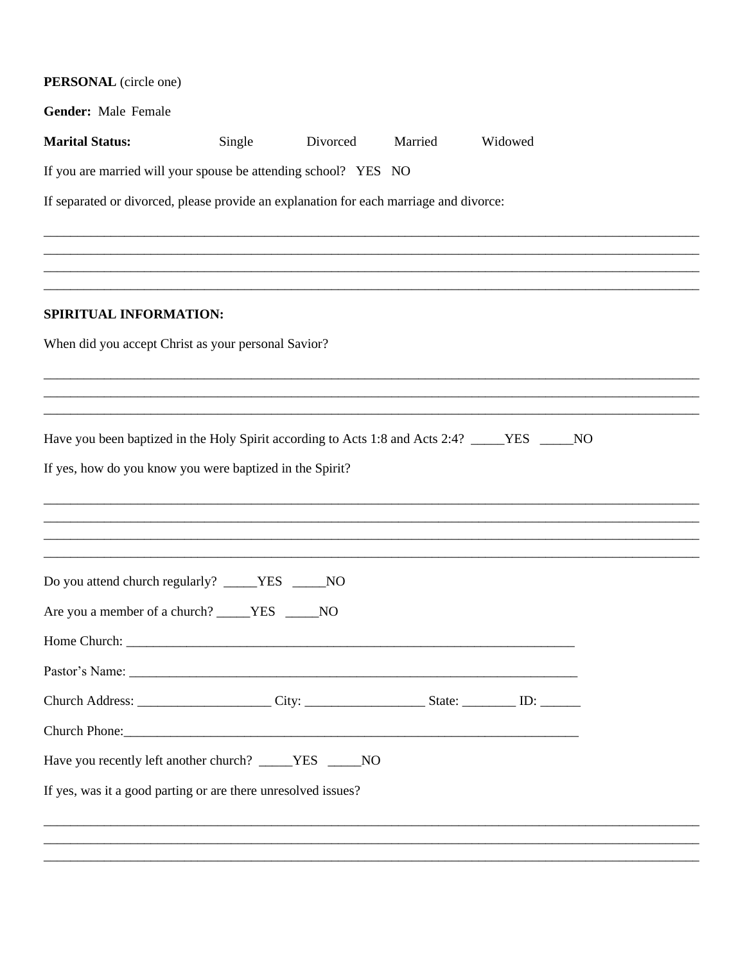| PERSONAL (circle one)                                                                        |        |          |         |                                                                                                                                                                      |  |
|----------------------------------------------------------------------------------------------|--------|----------|---------|----------------------------------------------------------------------------------------------------------------------------------------------------------------------|--|
| Gender: Male Female                                                                          |        |          |         |                                                                                                                                                                      |  |
| <b>Marital Status:</b>                                                                       | Single | Divorced | Married | Widowed                                                                                                                                                              |  |
| If you are married will your spouse be attending school? YES NO                              |        |          |         |                                                                                                                                                                      |  |
| If separated or divorced, please provide an explanation for each marriage and divorce:       |        |          |         |                                                                                                                                                                      |  |
|                                                                                              |        |          |         |                                                                                                                                                                      |  |
|                                                                                              |        |          |         | ,我们就会在这里的人,我们就会在这里的人,我们就会在这里的人,我们就会在这里的人,我们就会在这里的人,我们就会在这里的人,我们就会在这里的人,我们就会在这里的人<br>第251章 我们的人,我们就会在这里的人,我们就会在这里的人,我们就会在这里的人,我们就会在这里的人,我们就会在这里的人,我们就会在这里的人,我们就会在这里的人 |  |
|                                                                                              |        |          |         |                                                                                                                                                                      |  |
| SPIRITUAL INFORMATION:                                                                       |        |          |         |                                                                                                                                                                      |  |
| When did you accept Christ as your personal Savior?                                          |        |          |         |                                                                                                                                                                      |  |
|                                                                                              |        |          |         |                                                                                                                                                                      |  |
|                                                                                              |        |          |         |                                                                                                                                                                      |  |
| Have you been baptized in the Holy Spirit according to Acts 1:8 and Acts 2:4? ____YES ____NO |        |          |         |                                                                                                                                                                      |  |
| If yes, how do you know you were baptized in the Spirit?                                     |        |          |         |                                                                                                                                                                      |  |
|                                                                                              |        |          |         |                                                                                                                                                                      |  |
|                                                                                              |        |          |         |                                                                                                                                                                      |  |
|                                                                                              |        |          |         |                                                                                                                                                                      |  |
| Do you attend church regularly? ____YES ____NO                                               |        |          |         |                                                                                                                                                                      |  |
| Are you a member of a church? _____YES _____NO                                               |        |          |         |                                                                                                                                                                      |  |
|                                                                                              |        |          |         |                                                                                                                                                                      |  |
|                                                                                              |        |          |         |                                                                                                                                                                      |  |
|                                                                                              |        |          |         |                                                                                                                                                                      |  |
|                                                                                              |        |          |         |                                                                                                                                                                      |  |
| Have you recently left another church? _____YES _____NO                                      |        |          |         |                                                                                                                                                                      |  |
| If yes, was it a good parting or are there unresolved issues?                                |        |          |         |                                                                                                                                                                      |  |
|                                                                                              |        |          |         | ,我们就会在这里的人,我们就会在这里的人,我们就会在这里的人,我们就会在这里的人,我们就会在这里的人,我们就会在这里的人,我们就会在这里的人,我们就会在这里的人                                                                                     |  |
|                                                                                              |        |          |         | 一个人的人,我们就是一个人的人,我们就是一个人的人,我们就是一个人的人,我们就是一个人的人,我们就是一个人的人,我们就是一个人的人,我们就是一个人的人,我们就是一                                                                                    |  |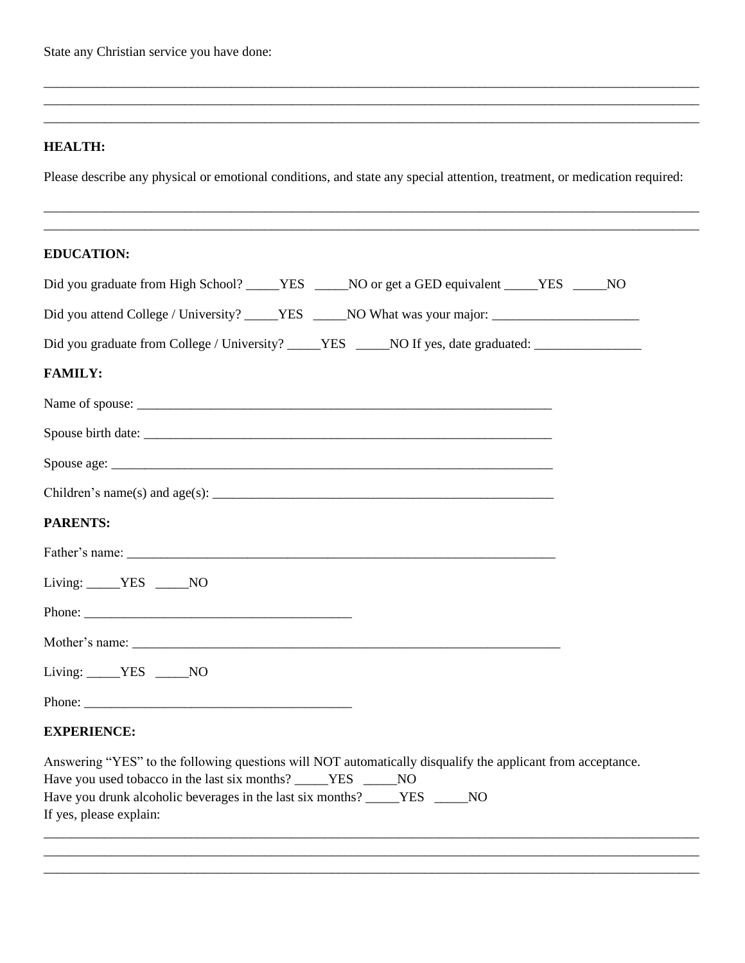State any Christian service you have done:

#### **HEALTH:**

Please describe any physical or emotional conditions, and state any special attention, treatment, or medication required:

\_\_\_\_\_\_\_\_\_\_\_\_\_\_\_\_\_\_\_\_\_\_\_\_\_\_\_\_\_\_\_\_\_\_\_\_\_\_\_\_\_\_\_\_\_\_\_\_\_\_\_\_\_\_\_\_\_\_\_\_\_\_\_\_\_\_\_\_\_\_\_\_\_\_\_\_\_\_\_\_\_\_\_\_\_\_\_\_\_\_\_\_\_\_\_\_\_\_ \_\_\_\_\_\_\_\_\_\_\_\_\_\_\_\_\_\_\_\_\_\_\_\_\_\_\_\_\_\_\_\_\_\_\_\_\_\_\_\_\_\_\_\_\_\_\_\_\_\_\_\_\_\_\_\_\_\_\_\_\_\_\_\_\_\_\_\_\_\_\_\_\_\_\_\_\_\_\_\_\_\_\_\_\_\_\_\_\_\_\_\_\_\_\_\_\_\_

\_\_\_\_\_\_\_\_\_\_\_\_\_\_\_\_\_\_\_\_\_\_\_\_\_\_\_\_\_\_\_\_\_\_\_\_\_\_\_\_\_\_\_\_\_\_\_\_\_\_\_\_\_\_\_\_\_\_\_\_\_\_\_\_\_\_\_\_\_\_\_\_\_\_\_\_\_\_\_\_\_\_\_\_\_\_\_\_\_\_\_\_\_\_\_\_\_\_ \_\_\_\_\_\_\_\_\_\_\_\_\_\_\_\_\_\_\_\_\_\_\_\_\_\_\_\_\_\_\_\_\_\_\_\_\_\_\_\_\_\_\_\_\_\_\_\_\_\_\_\_\_\_\_\_\_\_\_\_\_\_\_\_\_\_\_\_\_\_\_\_\_\_\_\_\_\_\_\_\_\_\_\_\_\_\_\_\_\_\_\_\_\_\_\_\_\_ \_\_\_\_\_\_\_\_\_\_\_\_\_\_\_\_\_\_\_\_\_\_\_\_\_\_\_\_\_\_\_\_\_\_\_\_\_\_\_\_\_\_\_\_\_\_\_\_\_\_\_\_\_\_\_\_\_\_\_\_\_\_\_\_\_\_\_\_\_\_\_\_\_\_\_\_\_\_\_\_\_\_\_\_\_\_\_\_\_\_\_\_\_\_\_\_\_\_

#### **EDUCATION:**

| Did you graduate from High School? _____YES _____NO or get a GED equivalent _____YES _____NO                                                             |
|----------------------------------------------------------------------------------------------------------------------------------------------------------|
| Did you attend College / University? _____YES _____NO What was your major: _________________________                                                     |
| Did you graduate from College / University? _____YES _____NO If yes, date graduated: ______________                                                      |
| <b>FAMILY:</b>                                                                                                                                           |
|                                                                                                                                                          |
|                                                                                                                                                          |
|                                                                                                                                                          |
|                                                                                                                                                          |
| <b>PARENTS:</b>                                                                                                                                          |
|                                                                                                                                                          |
| Living: VES ______NO                                                                                                                                     |
|                                                                                                                                                          |
|                                                                                                                                                          |
| Living: $YES$ NO                                                                                                                                         |
|                                                                                                                                                          |
| <b>EXPERIENCE:</b>                                                                                                                                       |
| Answering "YES" to the following questions will NOT automatically disqualify the applicant from acceptance.                                              |
| Have you used tobacco in the last six months? _____YES ______NO<br>Have you drunk alcoholic beverages in the last six months? _____YES<br>N <sub>O</sub> |

\_\_\_\_\_\_\_\_\_\_\_\_\_\_\_\_\_\_\_\_\_\_\_\_\_\_\_\_\_\_\_\_\_\_\_\_\_\_\_\_\_\_\_\_\_\_\_\_\_\_\_\_\_\_\_\_\_\_\_\_\_\_\_\_\_\_\_\_\_\_\_\_\_\_\_\_\_\_\_\_\_\_\_\_\_\_\_\_\_\_\_\_\_\_\_\_\_\_ \_\_\_\_\_\_\_\_\_\_\_\_\_\_\_\_\_\_\_\_\_\_\_\_\_\_\_\_\_\_\_\_\_\_\_\_\_\_\_\_\_\_\_\_\_\_\_\_\_\_\_\_\_\_\_\_\_\_\_\_\_\_\_\_\_\_\_\_\_\_\_\_\_\_\_\_\_\_\_\_\_\_\_\_\_\_\_\_\_\_\_\_\_\_\_\_\_\_ \_\_\_\_\_\_\_\_\_\_\_\_\_\_\_\_\_\_\_\_\_\_\_\_\_\_\_\_\_\_\_\_\_\_\_\_\_\_\_\_\_\_\_\_\_\_\_\_\_\_\_\_\_\_\_\_\_\_\_\_\_\_\_\_\_\_\_\_\_\_\_\_\_\_\_\_\_\_\_\_\_\_\_\_\_\_\_\_\_\_\_\_\_\_\_\_\_\_

| riave you druiik alcohone bevelag |  |
|-----------------------------------|--|
| If yes, please explain:           |  |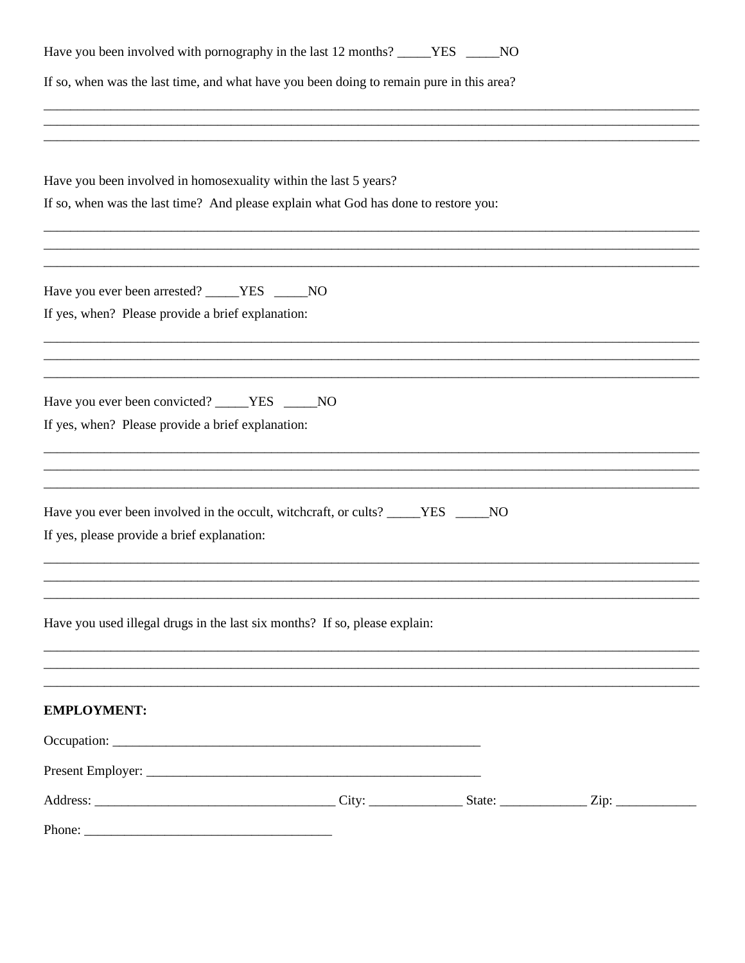| Have you been involved with pornography in the last 12 months? _____YES _____NO                     |  |  |
|-----------------------------------------------------------------------------------------------------|--|--|
| If so, when was the last time, and what have you been doing to remain pure in this area?            |  |  |
|                                                                                                     |  |  |
|                                                                                                     |  |  |
| Have you been involved in homosexuality within the last 5 years?                                    |  |  |
| If so, when was the last time? And please explain what God has done to restore you:                 |  |  |
|                                                                                                     |  |  |
|                                                                                                     |  |  |
| Have you ever been arrested? _____YES _____NO                                                       |  |  |
| If yes, when? Please provide a brief explanation:                                                   |  |  |
|                                                                                                     |  |  |
|                                                                                                     |  |  |
| Have you ever been convicted? _____YES _____NO<br>If yes, when? Please provide a brief explanation: |  |  |
|                                                                                                     |  |  |
|                                                                                                     |  |  |
| Have you ever been involved in the occult, witchcraft, or cults? _____YES _____NO                   |  |  |
| If yes, please provide a brief explanation:                                                         |  |  |
|                                                                                                     |  |  |
|                                                                                                     |  |  |
| Have you used illegal drugs in the last six months? If so, please explain:                          |  |  |
|                                                                                                     |  |  |
|                                                                                                     |  |  |
| <b>EMPLOYMENT:</b>                                                                                  |  |  |
|                                                                                                     |  |  |
|                                                                                                     |  |  |
|                                                                                                     |  |  |
| Phone:                                                                                              |  |  |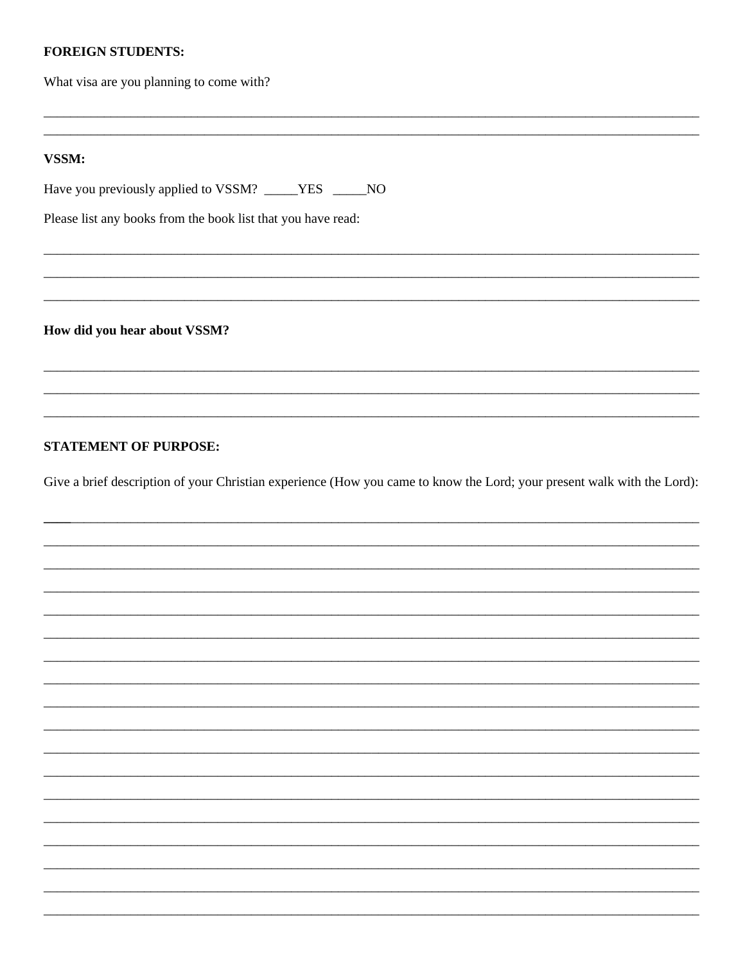#### **FOREIGN STUDENTS:**

What visa are you planning to come with?

#### VSSM:

Have you previously applied to VSSM? \_\_\_\_YES \_\_\_\_NO

Please list any books from the book list that you have read:

How did you hear about VSSM?

#### **STATEMENT OF PURPOSE:**

Give a brief description of your Christian experience (How you came to know the Lord; your present walk with the Lord):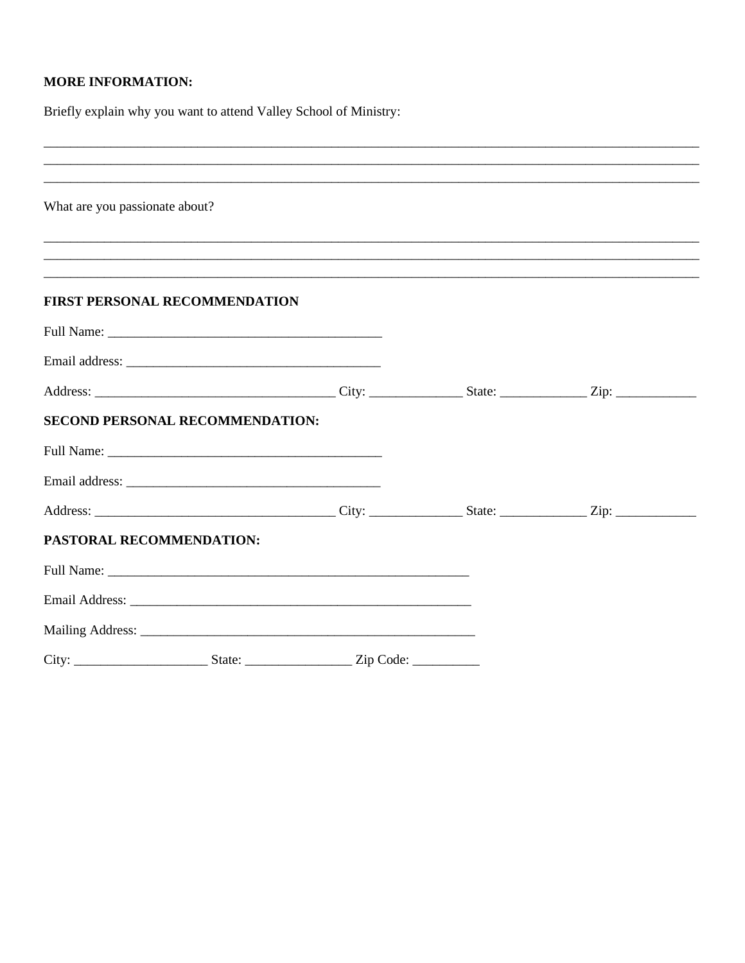# **MORE INFORMATION:**

Briefly explain why you want to attend Valley School of Ministry:

| ,我们也不能在这里的人,我们也不能在这里的人,我们也不能在这里的人,我们也不能在这里的人,我们也不能在这里的人,我们也不能在这里的人,我们也不能在这里的人,我们也 |  |  |
|-----------------------------------------------------------------------------------|--|--|
| What are you passionate about?                                                    |  |  |
|                                                                                   |  |  |
|                                                                                   |  |  |
| FIRST PERSONAL RECOMMENDATION                                                     |  |  |
|                                                                                   |  |  |
|                                                                                   |  |  |
|                                                                                   |  |  |
| SECOND PERSONAL RECOMMENDATION:                                                   |  |  |
|                                                                                   |  |  |
|                                                                                   |  |  |
|                                                                                   |  |  |
| PASTORAL RECOMMENDATION:                                                          |  |  |
|                                                                                   |  |  |
|                                                                                   |  |  |
|                                                                                   |  |  |
|                                                                                   |  |  |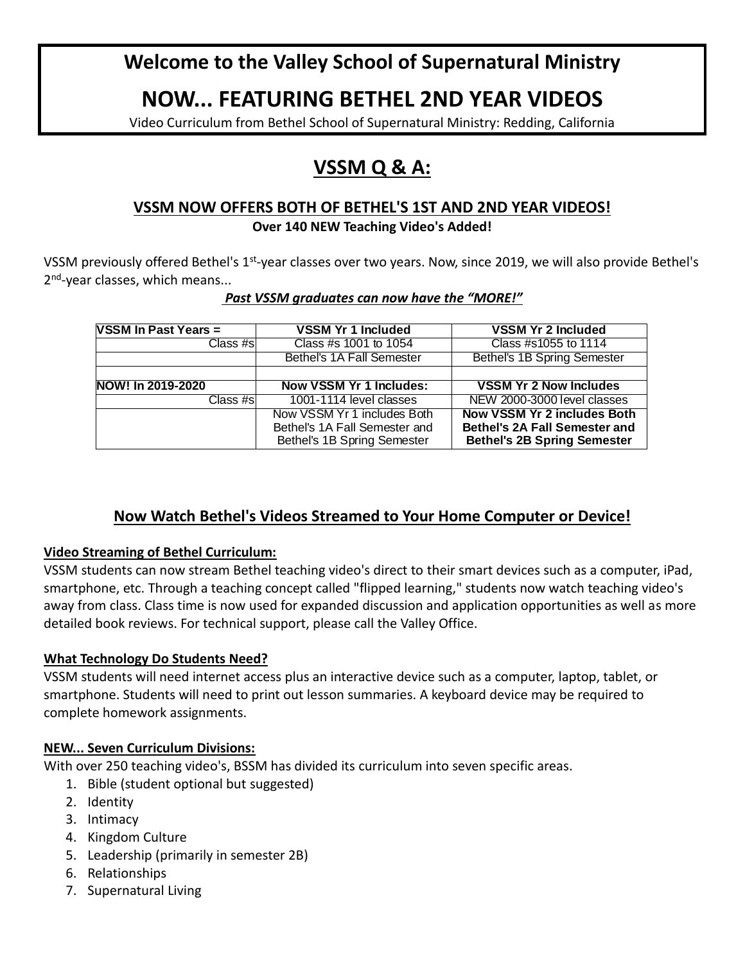# **Welcome to the Valley School of Supernatural Ministry**

# **NOW... FEATURING BETHEL 2ND YEAR VIDEOS**

Video Curriculum from Bethel School of Supernatural Ministry: Redding, California

# **VSSM Q & A:**

# **VSSM NOW OFFERS BOTH OF BETHEL'S 1ST AND 2ND YEAR VIDEOS!**

#### **Over 140 NEW Teaching Video's Added!**

VSSM previously offered Bethel's 1<sup>st</sup>-year classes over two years. Now, since 2019, we will also provide Bethel's 2<sup>nd</sup>-year classes, which means...

#### *Past VSSM graduates can now have the "MORE!"*

| <b>VSSM In Past Years =</b> | <b>VSSM Yr 1 Included</b>      | <b>VSSM Yr 2 Included</b>            |
|-----------------------------|--------------------------------|--------------------------------------|
| Class #sl                   | Class #s 1001 to 1054          | Class #s1055 to 1114                 |
|                             | Bethel's 1A Fall Semester      | Bethel's 1B Spring Semester          |
|                             |                                |                                      |
| NOW! In 2019-2020           | <b>Now VSSM Yr 1 Includes:</b> | <b>VSSM Yr 2 Now Includes</b>        |
| Class #sl                   | 1001-1114 level classes        | NEW 2000-3000 level classes          |
|                             | Now VSSM Yr 1 includes Both    | <b>Now VSSM Yr 2 includes Both</b>   |
|                             | Bethel's 1A Fall Semester and  | <b>Bethel's 2A Fall Semester and</b> |
|                             | Bethel's 1B Spring Semester    | <b>Bethel's 2B Spring Semester</b>   |

# **Now Watch Bethel's Videos Streamed to Your Home Computer or Device!**

## **Video Streaming of Bethel Curriculum:**

VSSM students can now stream Bethel teaching video's direct to their smart devices such as a computer, iPad, smartphone, etc. Through a teaching concept called "flipped learning," students now watch teaching video's away from class. Class time is now used for expanded discussion and application opportunities as well as more detailed book reviews. For technical support, please call the Valley Office.

## **What Technology Do Students Need?**

VSSM students will need internet access plus an interactive device such as a computer, laptop, tablet, or smartphone. Students will need to print out lesson summaries. A keyboard device may be required to complete homework assignments.

## **NEW... Seven Curriculum Divisions:**

With over 250 teaching video's, BSSM has divided its curriculum into seven specific areas.

- 1. Bible (student optional but suggested)
- 2. Identity
- 3. Intimacy
- 4. Kingdom Culture
- 5. Leadership (primarily in semester 2B)
- 6. Relationships
- 7. Supernatural Living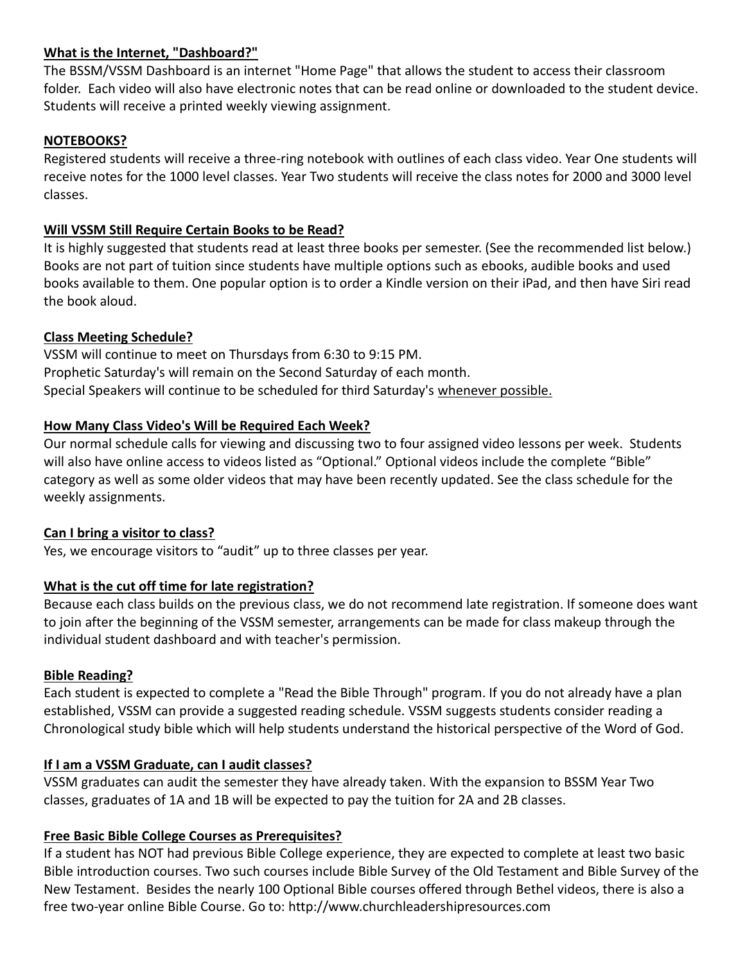## **What is the Internet, "Dashboard?"**

The BSSM/VSSM Dashboard is an internet "Home Page" that allows the student to access their classroom folder. Each video will also have electronic notes that can be read online or downloaded to the student device. Students will receive a printed weekly viewing assignment.

# **NOTEBOOKS?**

Registered students will receive a three-ring notebook with outlines of each class video. Year One students will receive notes for the 1000 level classes. Year Two students will receive the class notes for 2000 and 3000 level classes.

# **Will VSSM Still Require Certain Books to be Read?**

It is highly suggested that students read at least three books per semester. (See the recommended list below.) Books are not part of tuition since students have multiple options such as ebooks, audible books and used books available to them. One popular option is to order a Kindle version on their iPad, and then have Siri read the book aloud.

# **Class Meeting Schedule?**

VSSM will continue to meet on Thursdays from 6:30 to 9:15 PM. Prophetic Saturday's will remain on the Second Saturday of each month. Special Speakers will continue to be scheduled for third Saturday's whenever possible.

# **How Many Class Video's Will be Required Each Week?**

Our normal schedule calls for viewing and discussing two to four assigned video lessons per week. Students will also have online access to videos listed as "Optional." Optional videos include the complete "Bible" category as well as some older videos that may have been recently updated. See the class schedule for the weekly assignments.

## **Can I bring a visitor to class?**

Yes, we encourage visitors to "audit" up to three classes per year.

## **What is the cut off time for late registration?**

Because each class builds on the previous class, we do not recommend late registration. If someone does want to join after the beginning of the VSSM semester, arrangements can be made for class makeup through the individual student dashboard and with teacher's permission.

## **Bible Reading?**

Each student is expected to complete a "Read the Bible Through" program. If you do not already have a plan established, VSSM can provide a suggested reading schedule. VSSM suggests students consider reading a Chronological study bible which will help students understand the historical perspective of the Word of God.

## **If I am a VSSM Graduate, can I audit classes?**

VSSM graduates can audit the semester they have already taken. With the expansion to BSSM Year Two classes, graduates of 1A and 1B will be expected to pay the tuition for 2A and 2B classes.

## **Free Basic Bible College Courses as Prerequisites?**

If a student has NOT had previous Bible College experience, they are expected to complete at least two basic Bible introduction courses. Two such courses include Bible Survey of the Old Testament and Bible Survey of the New Testament. Besides the nearly 100 Optional Bible courses offered through Bethel videos, there is also a free two-year online Bible Course. Go to: http://www.churchleadershipresources.com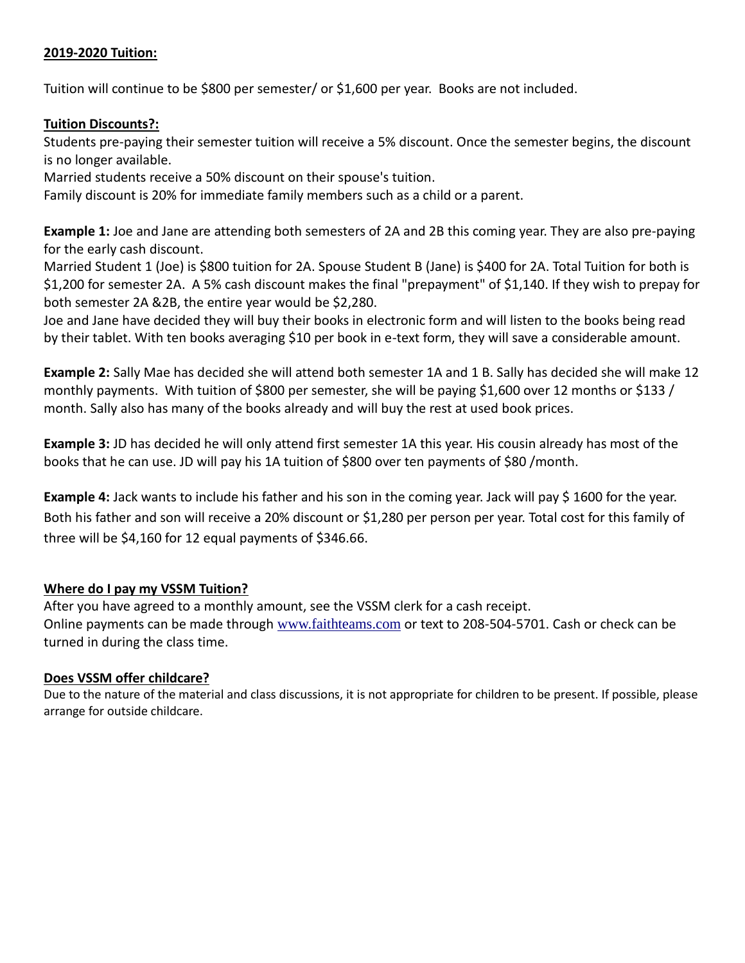#### **2019-2020 Tuition:**

Tuition will continue to be \$800 per semester/ or \$1,600 per year. Books are not included.

#### **Tuition Discounts?:**

Students pre-paying their semester tuition will receive a 5% discount. Once the semester begins, the discount is no longer available.

Married students receive a 50% discount on their spouse's tuition.

Family discount is 20% for immediate family members such as a child or a parent.

**Example 1:** Joe and Jane are attending both semesters of 2A and 2B this coming year. They are also pre-paying for the early cash discount.

Married Student 1 (Joe) is \$800 tuition for 2A. Spouse Student B (Jane) is \$400 for 2A. Total Tuition for both is \$1,200 for semester 2A. A 5% cash discount makes the final "prepayment" of \$1,140. If they wish to prepay for both semester 2A &2B, the entire year would be \$2,280.

Joe and Jane have decided they will buy their books in electronic form and will listen to the books being read by their tablet. With ten books averaging \$10 per book in e-text form, they will save a considerable amount.

**Example 2:** Sally Mae has decided she will attend both semester 1A and 1 B. Sally has decided she will make 12 monthly payments. With tuition of \$800 per semester, she will be paying \$1,600 over 12 months or \$133 / month. Sally also has many of the books already and will buy the rest at used book prices.

**Example 3:** JD has decided he will only attend first semester 1A this year. His cousin already has most of the books that he can use. JD will pay his 1A tuition of \$800 over ten payments of \$80 /month.

**Example 4:** Jack wants to include his father and his son in the coming year. Jack will pay \$1600 for the year. Both his father and son will receive a 20% discount or \$1,280 per person per year. Total cost for this family of three will be \$4,160 for 12 equal payments of \$346.66.

## **Where do I pay my VSSM Tuition?**

After you have agreed to a monthly amount, see the VSSM clerk for a cash receipt. Online payments can be made through [www.faithteams.com](http://www.faithteams.com/) or text to 208-504-5701. Cash or check can be turned in during the class time.

#### **Does VSSM offer childcare?**

Due to the nature of the material and class discussions, it is not appropriate for children to be present. If possible, please arrange for outside childcare.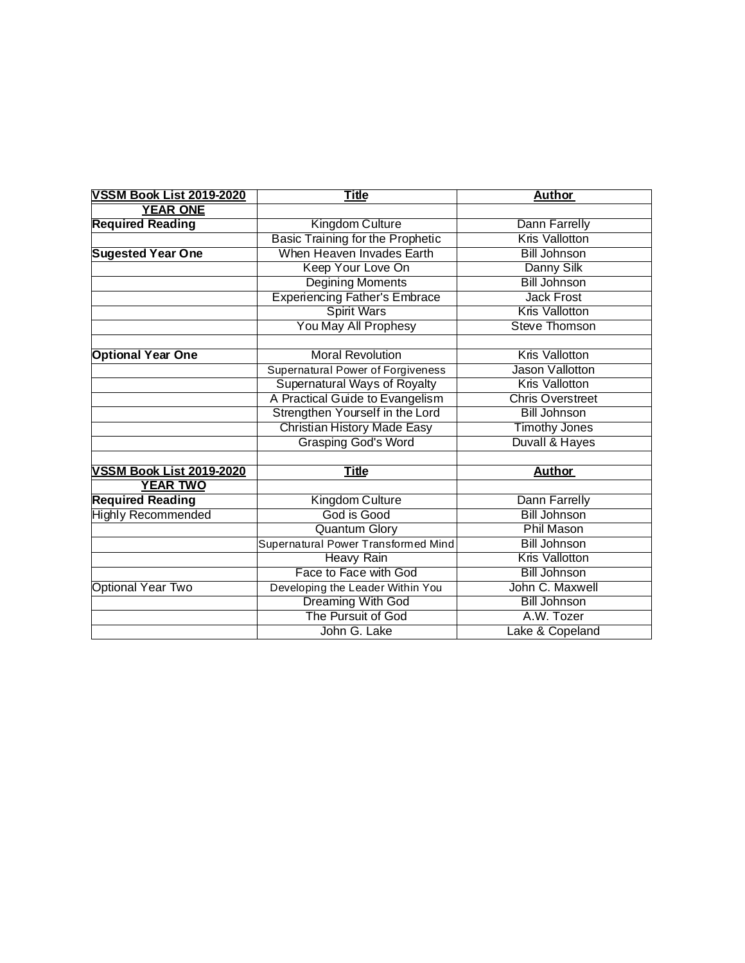| <b>VSSM Book List 2019-2020</b> | <b>Title</b>                            | <b>Author</b>             |
|---------------------------------|-----------------------------------------|---------------------------|
| <b>YEAR ONE</b>                 |                                         |                           |
| <b>Required Reading</b>         | Kingdom Culture                         | Dann Farrelly             |
|                                 | <b>Basic Training for the Prophetic</b> | <b>Kris Vallotton</b>     |
| <b>Sugested Year One</b>        | When Heaven Invades Earth               | <b>Bill Johnson</b>       |
|                                 | Keep Your Love On                       | Danny Silk                |
|                                 | Degining Moments                        | <b>Bill Johnson</b>       |
|                                 | <b>Experiencing Father's Embrace</b>    | <b>Jack Frost</b>         |
|                                 | <b>Spirit Wars</b>                      | <b>Kris Vallotton</b>     |
|                                 | You May All Prophesy                    | Steve Thomson             |
|                                 |                                         |                           |
| <b>Optional Year One</b>        | <b>Moral Revolution</b>                 | <b>Kris Vallotton</b>     |
|                                 | Supernatural Power of Forgiveness       | Jason Vallotton           |
|                                 | Supernatural Ways of Royalty            | Kris Vallotton            |
|                                 | A Practical Guide to Evangelism         | <b>Chris Overstreet</b>   |
|                                 | Strengthen Yourself in the Lord         | <b>Bill Johnson</b>       |
|                                 | <b>Christian History Made Easy</b>      | <b>Timothy Jones</b>      |
|                                 | <b>Grasping God's Word</b>              | <b>Duvall &amp; Hayes</b> |
|                                 |                                         |                           |
| <b>VSSM Book List 2019-2020</b> | <b>Title</b>                            | <b>Author</b>             |
| <b>YEAR TWO</b>                 |                                         |                           |
| <b>Required Reading</b>         | Kingdom Culture                         | Dann Farrelly             |
| <b>Highly Recommended</b>       | God is Good                             | <b>Bill Johnson</b>       |
|                                 | <b>Quantum Glory</b>                    | Phil Mason                |
|                                 | Supernatural Power Transformed Mind     | <b>Bill Johnson</b>       |
|                                 | <b>Heavy Rain</b>                       | <b>Kris Vallotton</b>     |
|                                 | Face to Face with God                   | <b>Bill Johnson</b>       |
| <b>Optional Year Two</b>        | Developing the Leader Within You        | John C. Maxwell           |
|                                 | <b>Dreaming With God</b>                | <b>Bill Johnson</b>       |
|                                 | The Pursuit of God                      | A.W. Tozer                |
|                                 | John G. Lake                            | Lake & Copeland           |